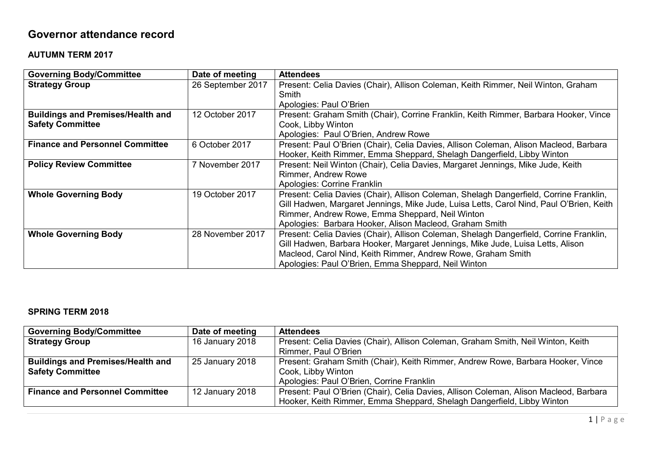## **Governor attendance record**

## **AUTUMN TERM 2017**

| <b>Governing Body/Committee</b>          | Date of meeting   | <b>Attendees</b>                                                                        |
|------------------------------------------|-------------------|-----------------------------------------------------------------------------------------|
| <b>Strategy Group</b>                    | 26 September 2017 | Present: Celia Davies (Chair), Allison Coleman, Keith Rimmer, Neil Winton, Graham       |
|                                          |                   | Smith                                                                                   |
|                                          |                   | Apologies: Paul O'Brien                                                                 |
| <b>Buildings and Premises/Health and</b> | 12 October 2017   | Present: Graham Smith (Chair), Corrine Franklin, Keith Rimmer, Barbara Hooker, Vince    |
| <b>Safety Committee</b>                  |                   | Cook, Libby Winton                                                                      |
|                                          |                   | Apologies: Paul O'Brien, Andrew Rowe                                                    |
| <b>Finance and Personnel Committee</b>   | 6 October 2017    | Present: Paul O'Brien (Chair), Celia Davies, Allison Coleman, Alison Macleod, Barbara   |
|                                          |                   | Hooker, Keith Rimmer, Emma Sheppard, Shelagh Dangerfield, Libby Winton                  |
| <b>Policy Review Committee</b>           | 7 November 2017   | Present: Neil Winton (Chair), Celia Davies, Margaret Jennings, Mike Jude, Keith         |
|                                          |                   | <b>Rimmer, Andrew Rowe</b>                                                              |
|                                          |                   | Apologies: Corrine Franklin                                                             |
| <b>Whole Governing Body</b>              | 19 October 2017   | Present: Celia Davies (Chair), Allison Coleman, Shelagh Dangerfield, Corrine Franklin,  |
|                                          |                   | Gill Hadwen, Margaret Jennings, Mike Jude, Luisa Letts, Carol Nind, Paul O'Brien, Keith |
|                                          |                   | Rimmer, Andrew Rowe, Emma Sheppard, Neil Winton                                         |
|                                          |                   | Apologies: Barbara Hooker, Alison Macleod, Graham Smith                                 |
| <b>Whole Governing Body</b>              | 28 November 2017  | Present: Celia Davies (Chair), Allison Coleman, Shelagh Dangerfield, Corrine Franklin,  |
|                                          |                   | Gill Hadwen, Barbara Hooker, Margaret Jennings, Mike Jude, Luisa Letts, Alison          |
|                                          |                   | Macleod, Carol Nind, Keith Rimmer, Andrew Rowe, Graham Smith                            |
|                                          |                   | Apologies: Paul O'Brien, Emma Sheppard, Neil Winton                                     |

## **SPRING TERM 2018**

| <b>Governing Body/Committee</b>          | Date of meeting | <b>Attendees</b>                                                                      |
|------------------------------------------|-----------------|---------------------------------------------------------------------------------------|
| <b>Strategy Group</b>                    | 16 January 2018 | Present: Celia Davies (Chair), Allison Coleman, Graham Smith, Neil Winton, Keith      |
|                                          |                 | Rimmer, Paul O'Brien                                                                  |
| <b>Buildings and Premises/Health and</b> | 25 January 2018 | Present: Graham Smith (Chair), Keith Rimmer, Andrew Rowe, Barbara Hooker, Vince       |
| <b>Safety Committee</b>                  |                 | Cook, Libby Winton                                                                    |
|                                          |                 | Apologies: Paul O'Brien, Corrine Franklin                                             |
| <b>Finance and Personnel Committee</b>   | 12 January 2018 | Present: Paul O'Brien (Chair), Celia Davies, Allison Coleman, Alison Macleod, Barbara |
|                                          |                 | Hooker, Keith Rimmer, Emma Sheppard, Shelagh Dangerfield, Libby Winton                |